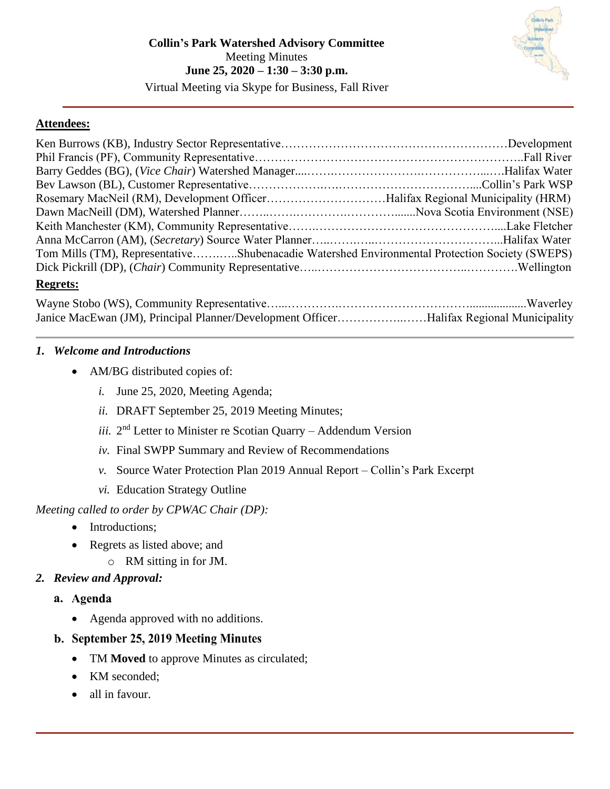

## **Attendees:**

| Tom Mills (TM), RepresentativeShubenacadie Watershed Environmental Protection Society (SWEPS) |  |
|-----------------------------------------------------------------------------------------------|--|
|                                                                                               |  |
| <b>Regrets:</b>                                                                               |  |

| Janice MacEwan (JM), Principal Planner/Development OfficerHalifax Regional Municipality |  |
|-----------------------------------------------------------------------------------------|--|

## <span id="page-0-0"></span>*1. Welcome and Introductions*

- <span id="page-0-1"></span>• AM/BG distributed copies of:
	- *i.* June 25, 2020, Meeting Agenda;
	- *ii.* DRAFT September 25, 2019 Meeting Minutes;
	- iii. 2<sup>nd</sup> Letter to Minister re Scotian Quarry Addendum Version
	- *iv.* Final SWPP Summary and Review of Recommendations
	- *v.* Source Water Protection Plan 2019 Annual Report Collin's Park Excerpt
	- *vi.* Education Strategy Outline

*Meeting called to order by CPWAC Chair (DP):*

- Introductions:
- Regrets as listed above; and
	- o RM sitting in for JM.
- *2. Review and Approval:*
	- a. Agenda
		- Agenda approved with no additions.
	- b. September 25, 2019 Meeting Minutes
		- TM **Moved** to approve Minutes as circulated;
		- KM seconded;
		- all in favour.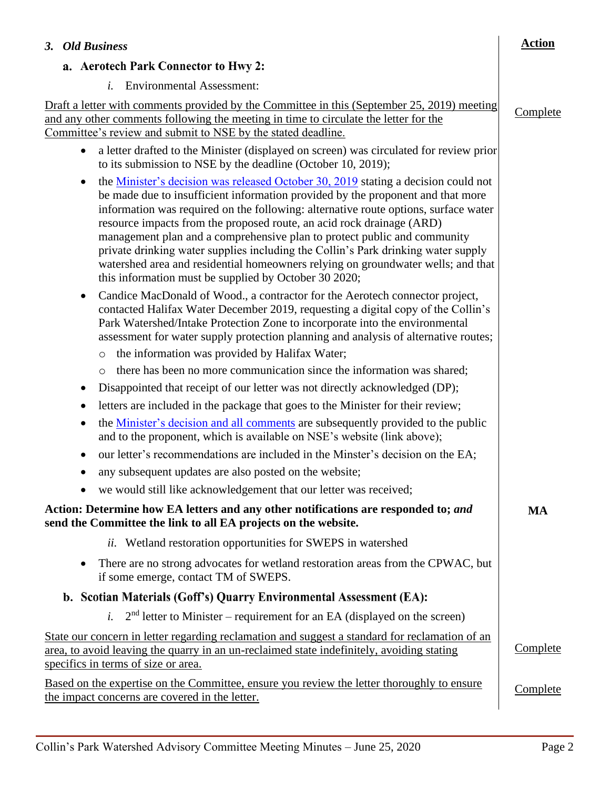<span id="page-1-1"></span><span id="page-1-0"></span>

| 3. Old Business                                                                                                                                                                                                                                                                                                                                                                                                                                                                                                                                                                                                                                                         | <b>Action</b>   |
|-------------------------------------------------------------------------------------------------------------------------------------------------------------------------------------------------------------------------------------------------------------------------------------------------------------------------------------------------------------------------------------------------------------------------------------------------------------------------------------------------------------------------------------------------------------------------------------------------------------------------------------------------------------------------|-----------------|
| a. Aerotech Park Connector to Hwy 2:                                                                                                                                                                                                                                                                                                                                                                                                                                                                                                                                                                                                                                    |                 |
| <i>i.</i> Environmental Assessment:                                                                                                                                                                                                                                                                                                                                                                                                                                                                                                                                                                                                                                     |                 |
| Draft a letter with comments provided by the Committee in this (September 25, 2019) meeting                                                                                                                                                                                                                                                                                                                                                                                                                                                                                                                                                                             | Complete        |
| and any other comments following the meeting in time to circulate the letter for the<br>Committee's review and submit to NSE by the stated deadline.                                                                                                                                                                                                                                                                                                                                                                                                                                                                                                                    |                 |
| a letter drafted to the Minister (displayed on screen) was circulated for review prior<br>$\bullet$<br>to its submission to NSE by the deadline (October 10, 2019);                                                                                                                                                                                                                                                                                                                                                                                                                                                                                                     |                 |
| the <u>Minister's decision was released October 30, 2019</u> stating a decision could not<br>$\bullet$<br>be made due to insufficient information provided by the proponent and that more<br>information was required on the following: alternative route options, surface water<br>resource impacts from the proposed route, an acid rock drainage (ARD)<br>management plan and a comprehensive plan to protect public and community<br>private drinking water supplies including the Collin's Park drinking water supply<br>watershed area and residential homeowners relying on groundwater wells; and that<br>this information must be supplied by October 30 2020; |                 |
| Candice MacDonald of Wood., a contractor for the Aerotech connector project,<br>$\bullet$<br>contacted Halifax Water December 2019, requesting a digital copy of the Collin's<br>Park Watershed/Intake Protection Zone to incorporate into the environmental<br>assessment for water supply protection planning and analysis of alternative routes;                                                                                                                                                                                                                                                                                                                     |                 |
| the information was provided by Halifax Water;<br>$\circ$                                                                                                                                                                                                                                                                                                                                                                                                                                                                                                                                                                                                               |                 |
| there has been no more communication since the information was shared;<br>$\circ$                                                                                                                                                                                                                                                                                                                                                                                                                                                                                                                                                                                       |                 |
| Disappointed that receipt of our letter was not directly acknowledged (DP);<br>$\bullet$                                                                                                                                                                                                                                                                                                                                                                                                                                                                                                                                                                                |                 |
| letters are included in the package that goes to the Minister for their review;<br>٠                                                                                                                                                                                                                                                                                                                                                                                                                                                                                                                                                                                    |                 |
| the <u>Minister's decision and all comments</u> are subsequently provided to the public<br>٠<br>and to the proponent, which is available on NSE's website (link above);                                                                                                                                                                                                                                                                                                                                                                                                                                                                                                 |                 |
| our letter's recommendations are included in the Minster's decision on the EA;                                                                                                                                                                                                                                                                                                                                                                                                                                                                                                                                                                                          |                 |
| any subsequent updates are also posted on the website;                                                                                                                                                                                                                                                                                                                                                                                                                                                                                                                                                                                                                  |                 |
| we would still like acknowledgement that our letter was received;                                                                                                                                                                                                                                                                                                                                                                                                                                                                                                                                                                                                       |                 |
| Action: Determine how EA letters and any other notifications are responded to; and<br>send the Committee the link to all EA projects on the website.                                                                                                                                                                                                                                                                                                                                                                                                                                                                                                                    | MA              |
| <i>ii.</i> Wetland restoration opportunities for SWEPS in watershed                                                                                                                                                                                                                                                                                                                                                                                                                                                                                                                                                                                                     |                 |
| There are no strong advocates for wetland restoration areas from the CPWAC, but<br>$\bullet$<br>if some emerge, contact TM of SWEPS.                                                                                                                                                                                                                                                                                                                                                                                                                                                                                                                                    |                 |
| b. Scotian Materials (Goff's) Quarry Environmental Assessment (EA):                                                                                                                                                                                                                                                                                                                                                                                                                                                                                                                                                                                                     |                 |
| <i>i.</i> $2nd$ letter to Minister – requirement for an EA (displayed on the screen)                                                                                                                                                                                                                                                                                                                                                                                                                                                                                                                                                                                    |                 |
| State our concern in letter regarding reclamation and suggest a standard for reclamation of an<br>area, to avoid leaving the quarry in an un-reclaimed state indefinitely, avoiding stating<br>specifics in terms of size or area.                                                                                                                                                                                                                                                                                                                                                                                                                                      | Complete        |
| <u>Based on the expertise on the Committee, ensure you review the letter thoroughly to ensure</u><br>the impact concerns are covered in the letter.                                                                                                                                                                                                                                                                                                                                                                                                                                                                                                                     | <b>Complete</b> |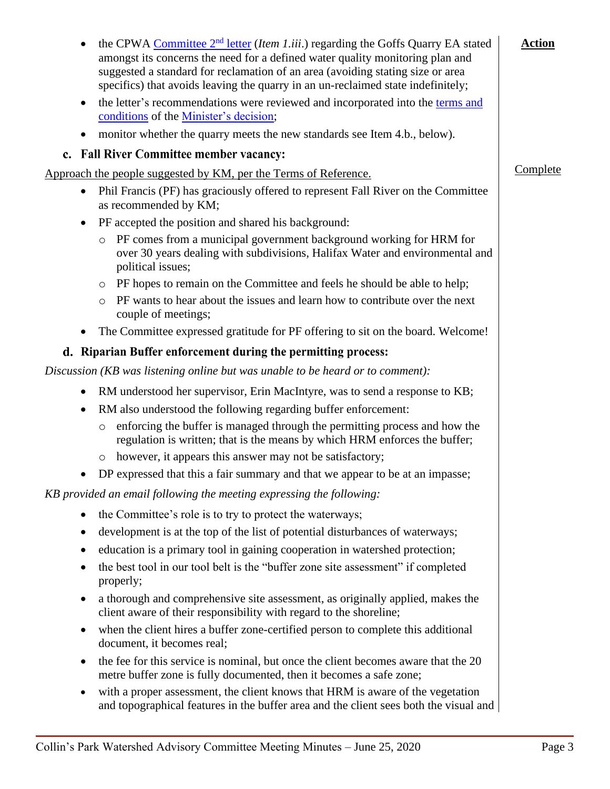| $\bullet$ | the CPWA Committee $2nd$ letter (Item 1.iii.) regarding the Goffs Quarry EA stated<br>amongst its concerns the need for a defined water quality monitoring plan and<br>suggested a standard for reclamation of an area (avoiding stating size or area<br>specifics) that avoids leaving the quarry in an un-reclaimed state indefinitely; | <b>Action</b> |
|-----------|-------------------------------------------------------------------------------------------------------------------------------------------------------------------------------------------------------------------------------------------------------------------------------------------------------------------------------------------|---------------|
| $\bullet$ | the letter's recommendations were reviewed and incorporated into the terms and<br>conditions of the Minister's decision;                                                                                                                                                                                                                  |               |
|           | monitor whether the quarry meets the new standards see Item 4.b., below).                                                                                                                                                                                                                                                                 |               |
|           | c. Fall River Committee member vacancy:                                                                                                                                                                                                                                                                                                   |               |
|           | Approach the people suggested by KM, per the Terms of Reference.                                                                                                                                                                                                                                                                          | Complete      |
| $\bullet$ | Phil Francis (PF) has graciously offered to represent Fall River on the Committee<br>as recommended by KM;                                                                                                                                                                                                                                |               |
| ٠         | PF accepted the position and shared his background:                                                                                                                                                                                                                                                                                       |               |
|           | PF comes from a municipal government background working for HRM for<br>$\circ$<br>over 30 years dealing with subdivisions, Halifax Water and environmental and<br>political issues;                                                                                                                                                       |               |
|           | PF hopes to remain on the Committee and feels he should be able to help;<br>$\circ$                                                                                                                                                                                                                                                       |               |
|           | PF wants to hear about the issues and learn how to contribute over the next<br>$\circ$<br>couple of meetings;                                                                                                                                                                                                                             |               |
|           | The Committee expressed gratitude for PF offering to sit on the board. Welcome!                                                                                                                                                                                                                                                           |               |
|           | d. Riparian Buffer enforcement during the permitting process:                                                                                                                                                                                                                                                                             |               |
|           | Discussion (KB was listening online but was unable to be heard or to comment):                                                                                                                                                                                                                                                            |               |
|           | RM understood her supervisor, Erin MacIntyre, was to send a response to KB;                                                                                                                                                                                                                                                               |               |
|           | RM also understood the following regarding buffer enforcement:                                                                                                                                                                                                                                                                            |               |
|           | enforcing the buffer is managed through the permitting process and how the<br>$\circ$<br>regulation is written; that is the means by which HRM enforces the buffer;                                                                                                                                                                       |               |
|           | however, it appears this answer may not be satisfactory;<br>$\circ$                                                                                                                                                                                                                                                                       |               |
|           | DP expressed that this a fair summary and that we appear to be at an impasse;                                                                                                                                                                                                                                                             |               |
|           | KB provided an email following the meeting expressing the following:                                                                                                                                                                                                                                                                      |               |
| $\bullet$ | the Committee's role is to try to protect the waterways;                                                                                                                                                                                                                                                                                  |               |
|           | development is at the top of the list of potential disturbances of waterways;                                                                                                                                                                                                                                                             |               |
| $\bullet$ | education is a primary tool in gaining cooperation in watershed protection;                                                                                                                                                                                                                                                               |               |
| ٠         | the best tool in our tool belt is the "buffer zone site assessment" if completed<br>properly;                                                                                                                                                                                                                                             |               |
| $\bullet$ | a thorough and comprehensive site assessment, as originally applied, makes the<br>client aware of their responsibility with regard to the shoreline;                                                                                                                                                                                      |               |
| ٠         | when the client hires a buffer zone-certified person to complete this additional<br>document, it becomes real;                                                                                                                                                                                                                            |               |
| ٠         | the fee for this service is nominal, but once the client becomes aware that the 20<br>metre buffer zone is fully documented, then it becomes a safe zone;                                                                                                                                                                                 |               |
| $\bullet$ | with a proper assessment, the client knows that HRM is aware of the vegetation<br>and topographical features in the buffer area and the client sees both the visual and                                                                                                                                                                   |               |
|           |                                                                                                                                                                                                                                                                                                                                           |               |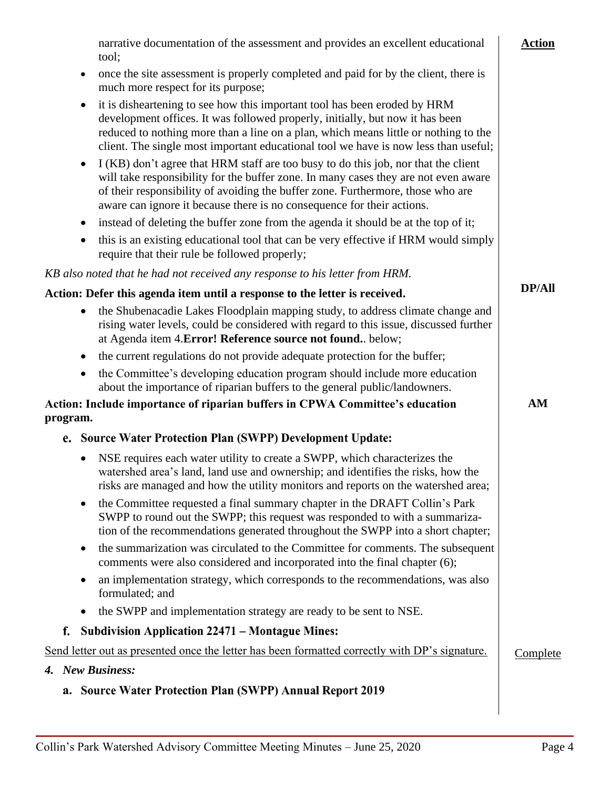<span id="page-3-0"></span>

| narrative documentation of the assessment and provides an excellent educational<br>tool;                                                                                                                                                                                                                                                              | <b>Action</b> |
|-------------------------------------------------------------------------------------------------------------------------------------------------------------------------------------------------------------------------------------------------------------------------------------------------------------------------------------------------------|---------------|
| once the site assessment is properly completed and paid for by the client, there is<br>$\bullet$<br>much more respect for its purpose;                                                                                                                                                                                                                |               |
| it is disheartening to see how this important tool has been eroded by HRM<br>$\bullet$<br>development offices. It was followed properly, initially, but now it has been<br>reduced to nothing more than a line on a plan, which means little or nothing to the<br>client. The single most important educational tool we have is now less than useful; |               |
| I (KB) don't agree that HRM staff are too busy to do this job, nor that the client<br>$\bullet$<br>will take responsibility for the buffer zone. In many cases they are not even aware<br>of their responsibility of avoiding the buffer zone. Furthermore, those who are<br>aware can ignore it because there is no consequence for their actions.   |               |
| instead of deleting the buffer zone from the agenda it should be at the top of it;<br>$\bullet$                                                                                                                                                                                                                                                       |               |
| this is an existing educational tool that can be very effective if HRM would simply<br>$\bullet$<br>require that their rule be followed properly;                                                                                                                                                                                                     |               |
| KB also noted that he had not received any response to his letter from HRM.                                                                                                                                                                                                                                                                           |               |
| Action: Defer this agenda item until a response to the letter is received.                                                                                                                                                                                                                                                                            | <b>DP/All</b> |
| the Shubenacadie Lakes Floodplain mapping study, to address climate change and<br>$\bullet$<br>rising water levels, could be considered with regard to this issue, discussed further<br>at Agenda item 4. Error! Reference source not found below;                                                                                                    |               |
| the current regulations do not provide adequate protection for the buffer;<br>$\bullet$                                                                                                                                                                                                                                                               |               |
| the Committee's developing education program should include more education<br>$\bullet$<br>about the importance of riparian buffers to the general public/landowners.                                                                                                                                                                                 |               |
| Action: Include importance of riparian buffers in CPWA Committee's education                                                                                                                                                                                                                                                                          | AM            |
| program.                                                                                                                                                                                                                                                                                                                                              |               |
| e. Source Water Protection Plan (SWPP) Development Update:                                                                                                                                                                                                                                                                                            |               |
| NSE requires each water utility to create a SWPP, which characterizes the<br>$\bullet$<br>watershed area's land, land use and ownership; and identifies the risks, how the<br>risks are managed and how the utility monitors and reports on the watershed area;                                                                                       |               |
| the Committee requested a final summary chapter in the DRAFT Collin's Park<br>٠<br>SWPP to round out the SWPP; this request was responded to with a summariza-<br>tion of the recommendations generated throughout the SWPP into a short chapter;                                                                                                     |               |
| the summarization was circulated to the Committee for comments. The subsequent<br>٠<br>comments were also considered and incorporated into the final chapter (6);                                                                                                                                                                                     |               |
| an implementation strategy, which corresponds to the recommendations, was also<br>٠<br>formulated; and                                                                                                                                                                                                                                                |               |
| the SWPP and implementation strategy are ready to be sent to NSE.<br>$\bullet$                                                                                                                                                                                                                                                                        |               |
| <b>Subdivision Application 22471 – Montague Mines:</b><br>f.                                                                                                                                                                                                                                                                                          |               |
| Send letter out as presented once the letter has been formatted correctly with DP's signature.                                                                                                                                                                                                                                                        | Complete      |
| <b>New Business:</b><br>4.                                                                                                                                                                                                                                                                                                                            |               |
| a. Source Water Protection Plan (SWPP) Annual Report 2019                                                                                                                                                                                                                                                                                             |               |
|                                                                                                                                                                                                                                                                                                                                                       |               |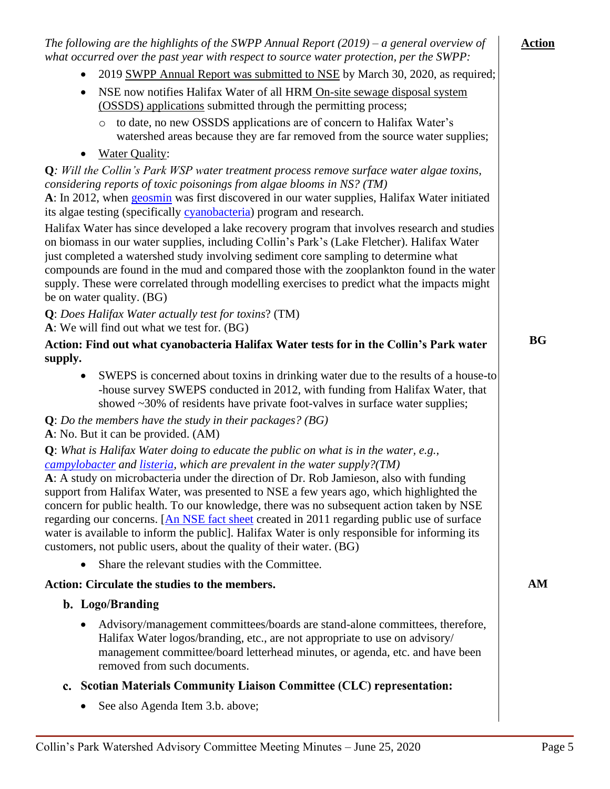<span id="page-4-0"></span>

| The following are the highlights of the SWPP Annual Report $(2019)$ – a general overview of<br>what occurred over the past year with respect to source water protection, per the SWPP:                                                                                                                                                                                                                                                                                                                                                                                                                                                                                                                                         | <b>Action</b> |
|--------------------------------------------------------------------------------------------------------------------------------------------------------------------------------------------------------------------------------------------------------------------------------------------------------------------------------------------------------------------------------------------------------------------------------------------------------------------------------------------------------------------------------------------------------------------------------------------------------------------------------------------------------------------------------------------------------------------------------|---------------|
| 2019 SWPP Annual Report was submitted to NSE by March 30, 2020, as required;                                                                                                                                                                                                                                                                                                                                                                                                                                                                                                                                                                                                                                                   |               |
| NSE now notifies Halifax Water of all HRM On-site sewage disposal system<br>٠<br>(OSSDS) applications submitted through the permitting process;                                                                                                                                                                                                                                                                                                                                                                                                                                                                                                                                                                                |               |
| to date, no new OSSDS applications are of concern to Halifax Water's<br>$\circ$<br>watershed areas because they are far removed from the source water supplies;                                                                                                                                                                                                                                                                                                                                                                                                                                                                                                                                                                |               |
| <b>Water Quality:</b><br>$\bullet$                                                                                                                                                                                                                                                                                                                                                                                                                                                                                                                                                                                                                                                                                             |               |
| Q: Will the Collin's Park WSP water treatment process remove surface water algae toxins,                                                                                                                                                                                                                                                                                                                                                                                                                                                                                                                                                                                                                                       |               |
| considering reports of toxic poisonings from algae blooms in NS? (TM)                                                                                                                                                                                                                                                                                                                                                                                                                                                                                                                                                                                                                                                          |               |
| A: In 2012, when geosmin was first discovered in our water supplies, Halifax Water initiated<br>its algae testing (specifically cyanobacteria) program and research.                                                                                                                                                                                                                                                                                                                                                                                                                                                                                                                                                           |               |
| Halifax Water has since developed a lake recovery program that involves research and studies<br>on biomass in our water supplies, including Collin's Park's (Lake Fletcher). Halifax Water<br>just completed a watershed study involving sediment core sampling to determine what<br>compounds are found in the mud and compared those with the zooplankton found in the water<br>supply. These were correlated through modelling exercises to predict what the impacts might<br>be on water quality. (BG)                                                                                                                                                                                                                     |               |
| Q: Does Halifax Water actually test for toxins? (TM)                                                                                                                                                                                                                                                                                                                                                                                                                                                                                                                                                                                                                                                                           |               |
| A: We will find out what we test for. (BG)                                                                                                                                                                                                                                                                                                                                                                                                                                                                                                                                                                                                                                                                                     |               |
| Action: Find out what cyanobacteria Halifax Water tests for in the Collin's Park water                                                                                                                                                                                                                                                                                                                                                                                                                                                                                                                                                                                                                                         | <b>BG</b>     |
| supply.                                                                                                                                                                                                                                                                                                                                                                                                                                                                                                                                                                                                                                                                                                                        |               |
| SWEPS is concerned about toxins in drinking water due to the results of a house-to<br>$\bullet$<br>-house survey SWEPS conducted in 2012, with funding from Halifax Water, that<br>showed ~30% of residents have private foot-valves in surface water supplies;                                                                                                                                                                                                                                                                                                                                                                                                                                                                |               |
| $Q: Do$ the members have the study in their packages? (BG)<br>A: No. But it can be provided. (AM)                                                                                                                                                                                                                                                                                                                                                                                                                                                                                                                                                                                                                              |               |
| <b>Q</b> : What is Halifax Water doing to educate the public on what is in the water, e.g.,<br>campylobacter and listeria, which are prevalent in the water supply?(TM)<br>A: A study on microbacteria under the direction of Dr. Rob Jamieson, also with funding<br>support from Halifax Water, was presented to NSE a few years ago, which highlighted the<br>concern for public health. To our knowledge, there was no subsequent action taken by NSE<br>regarding our concerns. [An NSE fact sheet created in 2011 regarding public use of surface<br>water is available to inform the public]. Halifax Water is only responsible for informing its<br>customers, not public users, about the quality of their water. (BG) |               |
| Share the relevant studies with the Committee.                                                                                                                                                                                                                                                                                                                                                                                                                                                                                                                                                                                                                                                                                 |               |
| Action: Circulate the studies to the members.                                                                                                                                                                                                                                                                                                                                                                                                                                                                                                                                                                                                                                                                                  | AM            |
| b. Logo/Branding                                                                                                                                                                                                                                                                                                                                                                                                                                                                                                                                                                                                                                                                                                               |               |
| Advisory/management committees/boards are stand-alone committees, therefore,<br>Halifax Water logos/branding, etc., are not appropriate to use on advisory/<br>management committee/board letterhead minutes, or agenda, etc. and have been<br>removed from such documents.                                                                                                                                                                                                                                                                                                                                                                                                                                                    |               |
| c. Scotian Materials Community Liaison Committee (CLC) representation:                                                                                                                                                                                                                                                                                                                                                                                                                                                                                                                                                                                                                                                         |               |
| See also Agenda Item 3.b. above;                                                                                                                                                                                                                                                                                                                                                                                                                                                                                                                                                                                                                                                                                               |               |
|                                                                                                                                                                                                                                                                                                                                                                                                                                                                                                                                                                                                                                                                                                                                |               |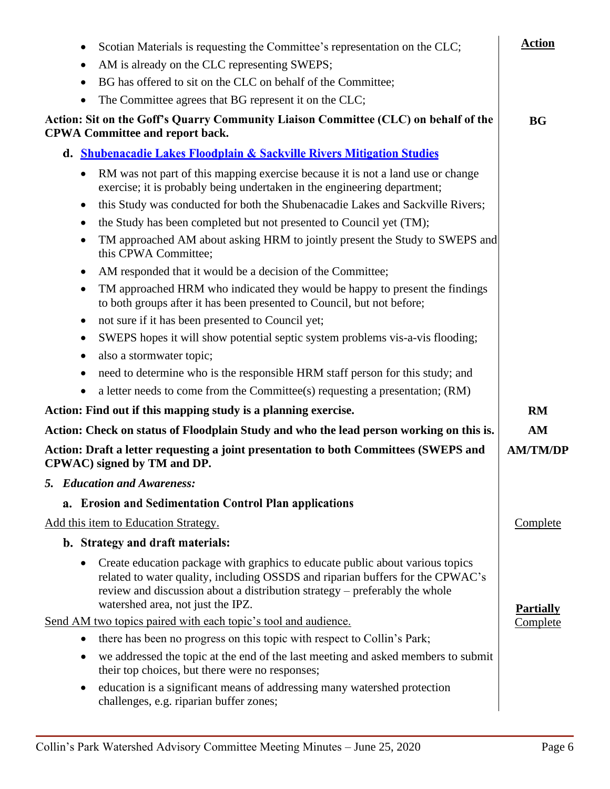| Scotian Materials is requesting the Committee's representation on the CLC;<br>$\bullet$<br>AM is already on the CLC representing SWEPS;<br>$\bullet$                                                                                                                                            | <b>Action</b>    |
|-------------------------------------------------------------------------------------------------------------------------------------------------------------------------------------------------------------------------------------------------------------------------------------------------|------------------|
| BG has offered to sit on the CLC on behalf of the Committee;<br>$\bullet$<br>The Committee agrees that BG represent it on the CLC;<br>٠                                                                                                                                                         |                  |
| Action: Sit on the Goff's Quarry Community Liaison Committee (CLC) on behalf of the<br><b>CPWA Committee and report back.</b>                                                                                                                                                                   | <b>BG</b>        |
| d. Shubenacadie Lakes Floodplain & Sackville Rivers Mitigation Studies                                                                                                                                                                                                                          |                  |
| RM was not part of this mapping exercise because it is not a land use or change<br>$\bullet$<br>exercise; it is probably being undertaken in the engineering department;                                                                                                                        |                  |
| this Study was conducted for both the Shubenacadie Lakes and Sackville Rivers;<br>$\bullet$                                                                                                                                                                                                     |                  |
| the Study has been completed but not presented to Council yet (TM);<br>٠                                                                                                                                                                                                                        |                  |
| TM approached AM about asking HRM to jointly present the Study to SWEPS and<br>٠<br>this CPWA Committee;                                                                                                                                                                                        |                  |
| AM responded that it would be a decision of the Committee;<br>$\bullet$                                                                                                                                                                                                                         |                  |
| TM approached HRM who indicated they would be happy to present the findings<br>$\bullet$<br>to both groups after it has been presented to Council, but not before;                                                                                                                              |                  |
| not sure if it has been presented to Council yet;<br>$\bullet$                                                                                                                                                                                                                                  |                  |
| SWEPS hopes it will show potential septic system problems vis-a-vis flooding;<br>٠                                                                                                                                                                                                              |                  |
| also a stormwater topic;<br>$\bullet$                                                                                                                                                                                                                                                           |                  |
| need to determine who is the responsible HRM staff person for this study; and<br>$\bullet$                                                                                                                                                                                                      |                  |
| a letter needs to come from the Committee(s) requesting a presentation; (RM)<br>$\bullet$                                                                                                                                                                                                       |                  |
| Action: Find out if this mapping study is a planning exercise.                                                                                                                                                                                                                                  | <b>RM</b>        |
| Action: Check on status of Floodplain Study and who the lead person working on this is.                                                                                                                                                                                                         | AM               |
| Action: Draft a letter requesting a joint presentation to both Committees (SWEPS and<br>CPWAC) signed by TM and DP.                                                                                                                                                                             | <b>AM/TM/DP</b>  |
| 5. Education and Awareness:                                                                                                                                                                                                                                                                     |                  |
| a. Erosion and Sedimentation Control Plan applications                                                                                                                                                                                                                                          |                  |
| Add this item to Education Strategy.                                                                                                                                                                                                                                                            | <b>Complete</b>  |
| b. Strategy and draft materials:                                                                                                                                                                                                                                                                |                  |
| Create education package with graphics to educate public about various topics<br>$\bullet$<br>related to water quality, including OSSDS and riparian buffers for the CPWAC's<br>review and discussion about a distribution strategy – preferably the whole<br>watershed area, not just the IPZ. | <b>Partially</b> |
| Send AM two topics paired with each topic's tool and audience.                                                                                                                                                                                                                                  | Complete         |
| there has been no progress on this topic with respect to Collin's Park;<br>$\bullet$                                                                                                                                                                                                            |                  |
| we addressed the topic at the end of the last meeting and asked members to submit<br>٠<br>their top choices, but there were no responses;                                                                                                                                                       |                  |
| education is a significant means of addressing many watershed protection<br>٠<br>challenges, e.g. riparian buffer zones;                                                                                                                                                                        |                  |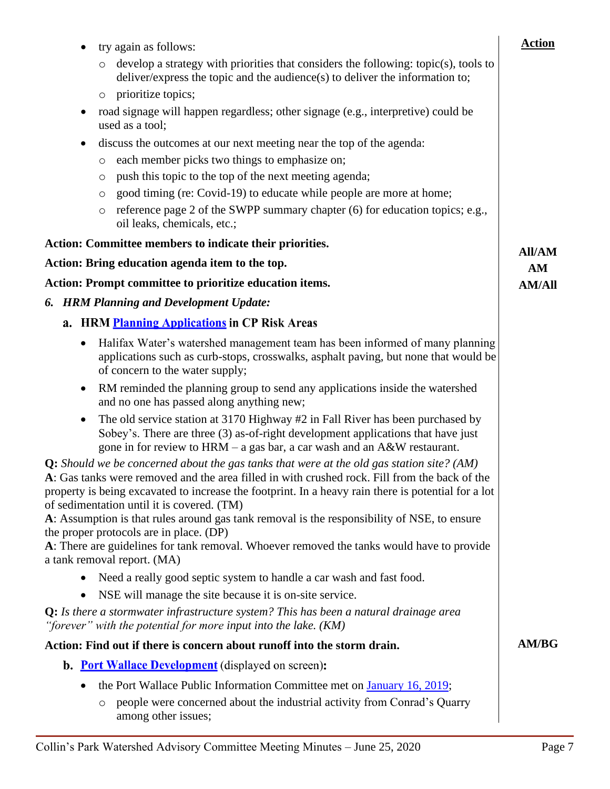| try again as follows:                                                                                                                                                                                                                                                                                                                                                                                                                                                                                                                                                                                                        | <b>Action</b>       |
|------------------------------------------------------------------------------------------------------------------------------------------------------------------------------------------------------------------------------------------------------------------------------------------------------------------------------------------------------------------------------------------------------------------------------------------------------------------------------------------------------------------------------------------------------------------------------------------------------------------------------|---------------------|
| develop a strategy with priorities that considers the following: topic(s), tools to<br>$\circ$<br>deliver/express the topic and the audience(s) to deliver the information to;                                                                                                                                                                                                                                                                                                                                                                                                                                               |                     |
| prioritize topics;<br>$\circ$                                                                                                                                                                                                                                                                                                                                                                                                                                                                                                                                                                                                |                     |
| road signage will happen regardless; other signage (e.g., interpretive) could be<br>used as a tool;                                                                                                                                                                                                                                                                                                                                                                                                                                                                                                                          |                     |
| discuss the outcomes at our next meeting near the top of the agenda:                                                                                                                                                                                                                                                                                                                                                                                                                                                                                                                                                         |                     |
| each member picks two things to emphasize on;<br>O                                                                                                                                                                                                                                                                                                                                                                                                                                                                                                                                                                           |                     |
| push this topic to the top of the next meeting agenda;<br>$\circ$                                                                                                                                                                                                                                                                                                                                                                                                                                                                                                                                                            |                     |
| good timing (re: Covid-19) to educate while people are more at home;<br>O                                                                                                                                                                                                                                                                                                                                                                                                                                                                                                                                                    |                     |
| reference page 2 of the SWPP summary chapter (6) for education topics; e.g.,<br>O<br>oil leaks, chemicals, etc.;                                                                                                                                                                                                                                                                                                                                                                                                                                                                                                             |                     |
| Action: Committee members to indicate their priorities.                                                                                                                                                                                                                                                                                                                                                                                                                                                                                                                                                                      |                     |
| Action: Bring education agenda item to the top.                                                                                                                                                                                                                                                                                                                                                                                                                                                                                                                                                                              | <b>All/AM</b><br>AM |
| Action: Prompt committee to prioritize education items.                                                                                                                                                                                                                                                                                                                                                                                                                                                                                                                                                                      | <b>AM/All</b>       |
| <b>HRM Planning and Development Update:</b><br>6.                                                                                                                                                                                                                                                                                                                                                                                                                                                                                                                                                                            |                     |
| a. HRM Planning Applications in CP Risk Areas                                                                                                                                                                                                                                                                                                                                                                                                                                                                                                                                                                                |                     |
| Halifax Water's watershed management team has been informed of many planning<br>$\bullet$<br>applications such as curb-stops, crosswalks, asphalt paving, but none that would be<br>of concern to the water supply;                                                                                                                                                                                                                                                                                                                                                                                                          |                     |
| RM reminded the planning group to send any applications inside the watershed<br>and no one has passed along anything new;                                                                                                                                                                                                                                                                                                                                                                                                                                                                                                    |                     |
| The old service station at 3170 Highway #2 in Fall River has been purchased by<br>Sobey's. There are three (3) as-of-right development applications that have just<br>gone in for review to $HRM - a$ gas bar, a car wash and an $A&W$ restaurant.                                                                                                                                                                                                                                                                                                                                                                           |                     |
| <b>Q:</b> Should we be concerned about the gas tanks that were at the old gas station site? (AM)<br>A: Gas tanks were removed and the area filled in with crushed rock. Fill from the back of the<br>property is being excavated to increase the footprint. In a heavy rain there is potential for a lot<br>of sedimentation until it is covered. (TM)<br>A: Assumption is that rules around gas tank removal is the responsibility of NSE, to ensure<br>the proper protocols are in place. (DP)<br>A: There are guidelines for tank removal. Whoever removed the tanks would have to provide<br>a tank removal report. (MA) |                     |
| Need a really good septic system to handle a car wash and fast food.                                                                                                                                                                                                                                                                                                                                                                                                                                                                                                                                                         |                     |
| NSE will manage the site because it is on-site service.                                                                                                                                                                                                                                                                                                                                                                                                                                                                                                                                                                      |                     |
| <b>Q:</b> Is there a stormwater infrastructure system? This has been a natural drainage area<br>"forever" with the potential for more input into the lake. $(KM)$                                                                                                                                                                                                                                                                                                                                                                                                                                                            |                     |
| Action: Find out if there is concern about runoff into the storm drain.                                                                                                                                                                                                                                                                                                                                                                                                                                                                                                                                                      | <b>AM/BG</b>        |
| <b>b.</b> Port Wallace Development (displayed on screen):                                                                                                                                                                                                                                                                                                                                                                                                                                                                                                                                                                    |                     |
| the Port Wallace Public Information Committee met on January 16, 2019;                                                                                                                                                                                                                                                                                                                                                                                                                                                                                                                                                       |                     |
| people were concerned about the industrial activity from Conrad's Quarry<br>O                                                                                                                                                                                                                                                                                                                                                                                                                                                                                                                                                |                     |

among other issues;